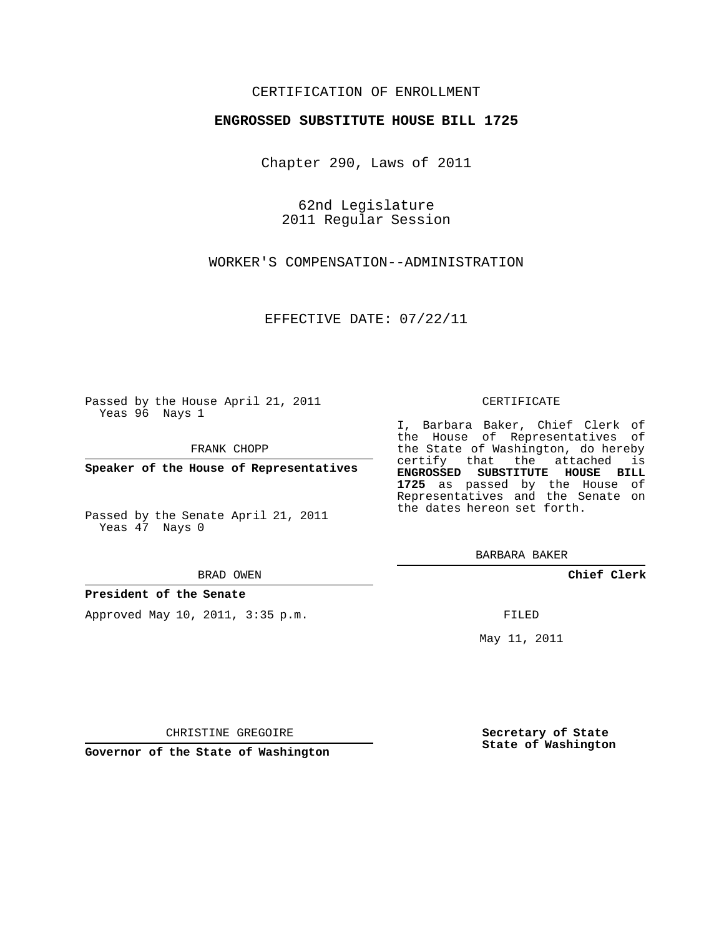## CERTIFICATION OF ENROLLMENT

## **ENGROSSED SUBSTITUTE HOUSE BILL 1725**

Chapter 290, Laws of 2011

62nd Legislature 2011 Regular Session

WORKER'S COMPENSATION--ADMINISTRATION

EFFECTIVE DATE: 07/22/11

Passed by the House April 21, 2011 Yeas 96 Nays 1

FRANK CHOPP

Yeas 47 Nays 0

#### BRAD OWEN

## **President of the Senate**

Approved May 10, 2011, 3:35 p.m.

#### CERTIFICATE

I, Barbara Baker, Chief Clerk of the House of Representatives of the State of Washington, do hereby certify that the attached is **ENGROSSED SUBSTITUTE HOUSE BILL 1725** as passed by the House of Representatives and the Senate on the dates hereon set forth.

BARBARA BAKER

**Chief Clerk**

FILED

May 11, 2011

**Secretary of State State of Washington**

CHRISTINE GREGOIRE

**Governor of the State of Washington**

**Speaker of the House of Representatives**

Passed by the Senate April 21, 2011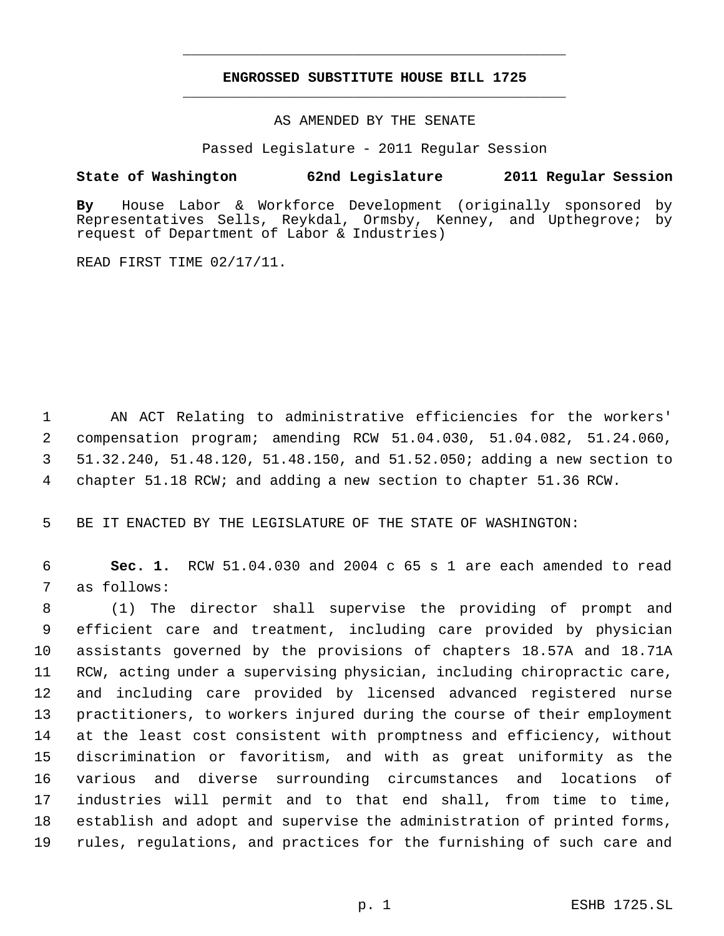# **ENGROSSED SUBSTITUTE HOUSE BILL 1725** \_\_\_\_\_\_\_\_\_\_\_\_\_\_\_\_\_\_\_\_\_\_\_\_\_\_\_\_\_\_\_\_\_\_\_\_\_\_\_\_\_\_\_\_\_

\_\_\_\_\_\_\_\_\_\_\_\_\_\_\_\_\_\_\_\_\_\_\_\_\_\_\_\_\_\_\_\_\_\_\_\_\_\_\_\_\_\_\_\_\_

AS AMENDED BY THE SENATE

Passed Legislature - 2011 Regular Session

# **State of Washington 62nd Legislature 2011 Regular Session**

**By** House Labor & Workforce Development (originally sponsored by Representatives Sells, Reykdal, Ormsby, Kenney, and Upthegrove; by request of Department of Labor & Industries)

READ FIRST TIME 02/17/11.

 AN ACT Relating to administrative efficiencies for the workers' compensation program; amending RCW 51.04.030, 51.04.082, 51.24.060, 51.32.240, 51.48.120, 51.48.150, and 51.52.050; adding a new section to chapter 51.18 RCW; and adding a new section to chapter 51.36 RCW.

BE IT ENACTED BY THE LEGISLATURE OF THE STATE OF WASHINGTON:

 **Sec. 1.** RCW 51.04.030 and 2004 c 65 s 1 are each amended to read as follows:

 (1) The director shall supervise the providing of prompt and efficient care and treatment, including care provided by physician assistants governed by the provisions of chapters 18.57A and 18.71A RCW, acting under a supervising physician, including chiropractic care, and including care provided by licensed advanced registered nurse practitioners, to workers injured during the course of their employment at the least cost consistent with promptness and efficiency, without discrimination or favoritism, and with as great uniformity as the various and diverse surrounding circumstances and locations of industries will permit and to that end shall, from time to time, establish and adopt and supervise the administration of printed forms, rules, regulations, and practices for the furnishing of such care and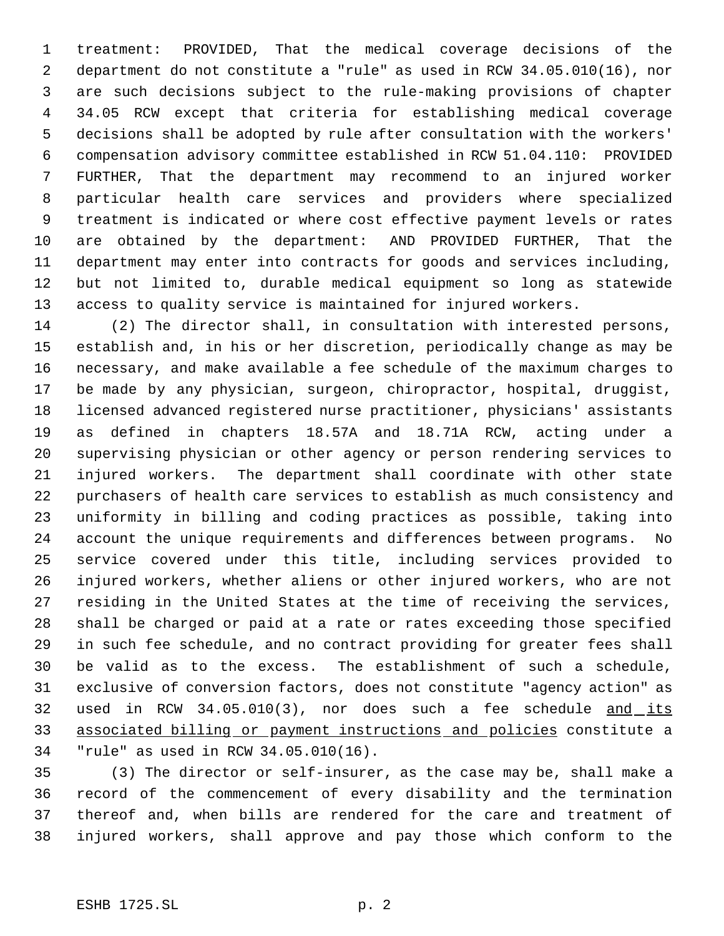treatment: PROVIDED, That the medical coverage decisions of the department do not constitute a "rule" as used in RCW 34.05.010(16), nor are such decisions subject to the rule-making provisions of chapter 34.05 RCW except that criteria for establishing medical coverage decisions shall be adopted by rule after consultation with the workers' compensation advisory committee established in RCW 51.04.110: PROVIDED FURTHER, That the department may recommend to an injured worker particular health care services and providers where specialized treatment is indicated or where cost effective payment levels or rates are obtained by the department: AND PROVIDED FURTHER, That the department may enter into contracts for goods and services including, but not limited to, durable medical equipment so long as statewide access to quality service is maintained for injured workers.

 (2) The director shall, in consultation with interested persons, establish and, in his or her discretion, periodically change as may be necessary, and make available a fee schedule of the maximum charges to be made by any physician, surgeon, chiropractor, hospital, druggist, licensed advanced registered nurse practitioner, physicians' assistants as defined in chapters 18.57A and 18.71A RCW, acting under a supervising physician or other agency or person rendering services to injured workers. The department shall coordinate with other state purchasers of health care services to establish as much consistency and uniformity in billing and coding practices as possible, taking into account the unique requirements and differences between programs. No service covered under this title, including services provided to injured workers, whether aliens or other injured workers, who are not residing in the United States at the time of receiving the services, shall be charged or paid at a rate or rates exceeding those specified in such fee schedule, and no contract providing for greater fees shall be valid as to the excess. The establishment of such a schedule, exclusive of conversion factors, does not constitute "agency action" as used in RCW 34.05.010(3), nor does such a fee schedule and its associated billing or payment instructions and policies constitute a "rule" as used in RCW 34.05.010(16).

 (3) The director or self-insurer, as the case may be, shall make a record of the commencement of every disability and the termination thereof and, when bills are rendered for the care and treatment of injured workers, shall approve and pay those which conform to the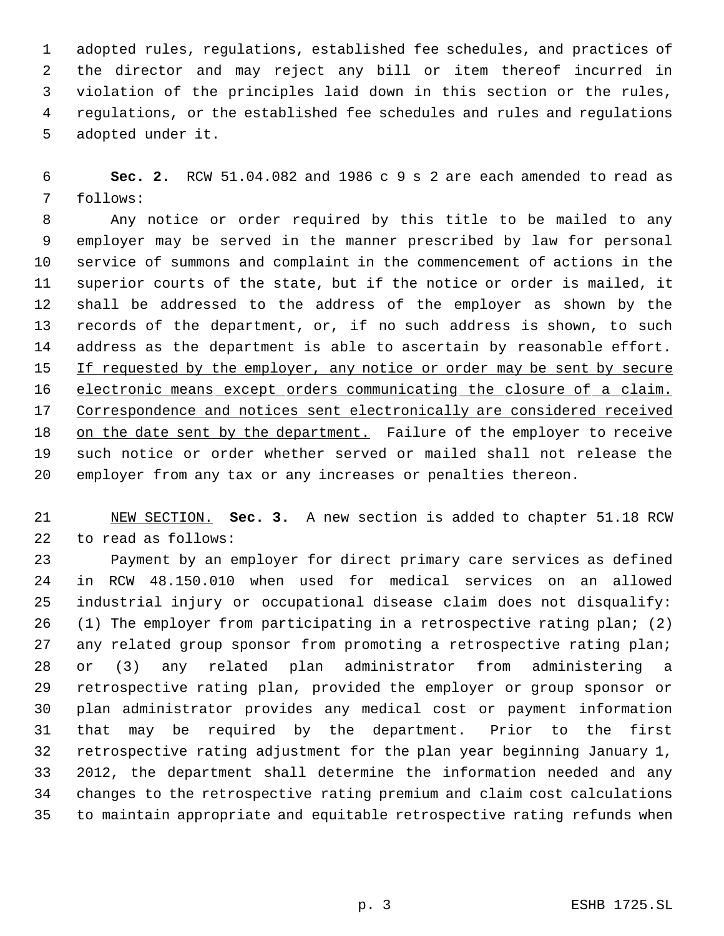adopted rules, regulations, established fee schedules, and practices of the director and may reject any bill or item thereof incurred in violation of the principles laid down in this section or the rules, regulations, or the established fee schedules and rules and regulations adopted under it.

 **Sec. 2.** RCW 51.04.082 and 1986 c 9 s 2 are each amended to read as follows:

 Any notice or order required by this title to be mailed to any employer may be served in the manner prescribed by law for personal service of summons and complaint in the commencement of actions in the superior courts of the state, but if the notice or order is mailed, it shall be addressed to the address of the employer as shown by the records of the department, or, if no such address is shown, to such address as the department is able to ascertain by reasonable effort. 15 If requested by the employer, any notice or order may be sent by secure 16 electronic means except orders communicating the closure of a claim. Correspondence and notices sent electronically are considered received on the date sent by the department. Failure of the employer to receive such notice or order whether served or mailed shall not release the employer from any tax or any increases or penalties thereon.

 NEW SECTION. **Sec. 3.** A new section is added to chapter 51.18 RCW to read as follows:

 Payment by an employer for direct primary care services as defined in RCW 48.150.010 when used for medical services on an allowed industrial injury or occupational disease claim does not disqualify: (1) The employer from participating in a retrospective rating plan; (2) any related group sponsor from promoting a retrospective rating plan; or (3) any related plan administrator from administering a retrospective rating plan, provided the employer or group sponsor or plan administrator provides any medical cost or payment information that may be required by the department. Prior to the first retrospective rating adjustment for the plan year beginning January 1, 2012, the department shall determine the information needed and any changes to the retrospective rating premium and claim cost calculations to maintain appropriate and equitable retrospective rating refunds when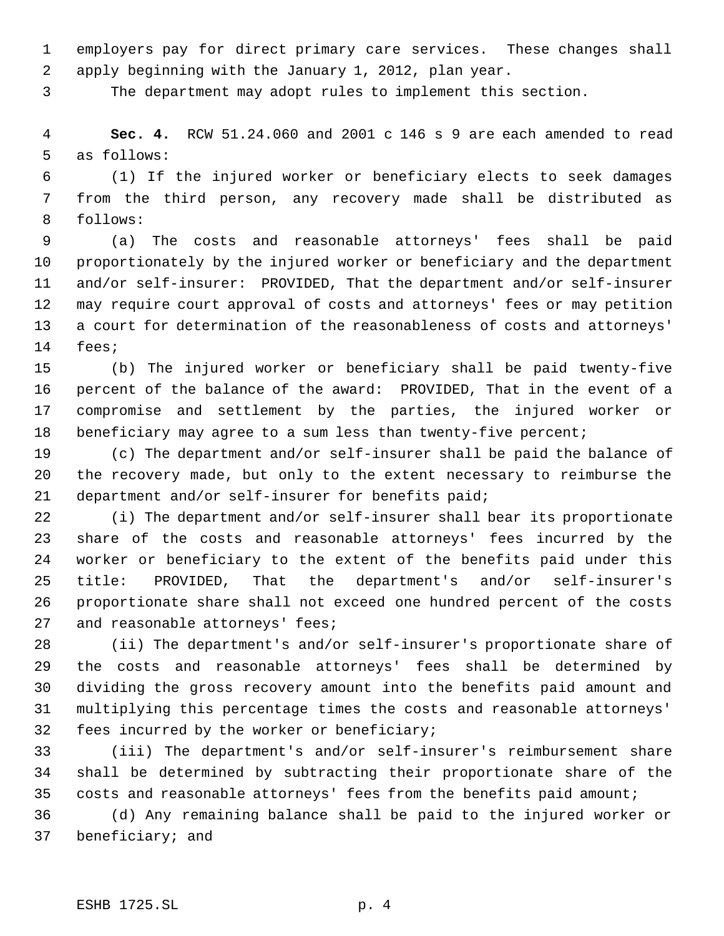employers pay for direct primary care services. These changes shall apply beginning with the January 1, 2012, plan year.

The department may adopt rules to implement this section.

 **Sec. 4.** RCW 51.24.060 and 2001 c 146 s 9 are each amended to read as follows:

 (1) If the injured worker or beneficiary elects to seek damages from the third person, any recovery made shall be distributed as follows:

 (a) The costs and reasonable attorneys' fees shall be paid proportionately by the injured worker or beneficiary and the department and/or self-insurer: PROVIDED, That the department and/or self-insurer may require court approval of costs and attorneys' fees or may petition a court for determination of the reasonableness of costs and attorneys' fees;

 (b) The injured worker or beneficiary shall be paid twenty-five percent of the balance of the award: PROVIDED, That in the event of a compromise and settlement by the parties, the injured worker or 18 beneficiary may agree to a sum less than twenty-five percent;

 (c) The department and/or self-insurer shall be paid the balance of the recovery made, but only to the extent necessary to reimburse the department and/or self-insurer for benefits paid;

 (i) The department and/or self-insurer shall bear its proportionate share of the costs and reasonable attorneys' fees incurred by the worker or beneficiary to the extent of the benefits paid under this title: PROVIDED, That the department's and/or self-insurer's proportionate share shall not exceed one hundred percent of the costs 27 and reasonable attorneys' fees;

 (ii) The department's and/or self-insurer's proportionate share of the costs and reasonable attorneys' fees shall be determined by dividing the gross recovery amount into the benefits paid amount and multiplying this percentage times the costs and reasonable attorneys' fees incurred by the worker or beneficiary;

 (iii) The department's and/or self-insurer's reimbursement share shall be determined by subtracting their proportionate share of the costs and reasonable attorneys' fees from the benefits paid amount;

 (d) Any remaining balance shall be paid to the injured worker or beneficiary; and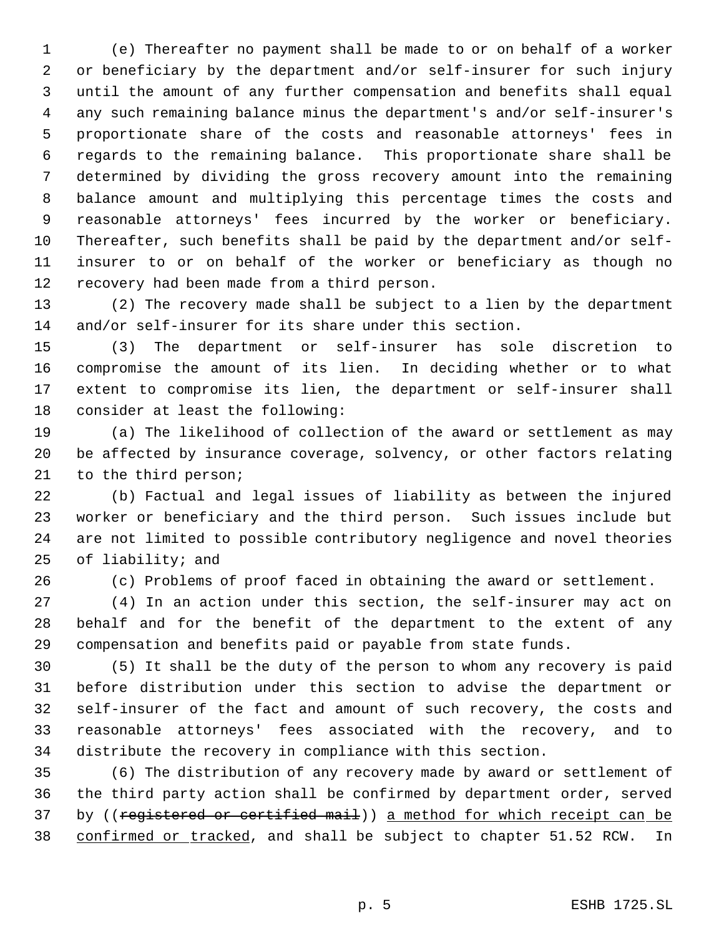(e) Thereafter no payment shall be made to or on behalf of a worker or beneficiary by the department and/or self-insurer for such injury until the amount of any further compensation and benefits shall equal any such remaining balance minus the department's and/or self-insurer's proportionate share of the costs and reasonable attorneys' fees in regards to the remaining balance. This proportionate share shall be determined by dividing the gross recovery amount into the remaining balance amount and multiplying this percentage times the costs and reasonable attorneys' fees incurred by the worker or beneficiary. Thereafter, such benefits shall be paid by the department and/or self- insurer to or on behalf of the worker or beneficiary as though no recovery had been made from a third person.

 (2) The recovery made shall be subject to a lien by the department and/or self-insurer for its share under this section.

 (3) The department or self-insurer has sole discretion to compromise the amount of its lien. In deciding whether or to what extent to compromise its lien, the department or self-insurer shall consider at least the following:

 (a) The likelihood of collection of the award or settlement as may be affected by insurance coverage, solvency, or other factors relating to the third person;

 (b) Factual and legal issues of liability as between the injured worker or beneficiary and the third person. Such issues include but are not limited to possible contributory negligence and novel theories of liability; and

(c) Problems of proof faced in obtaining the award or settlement.

 (4) In an action under this section, the self-insurer may act on behalf and for the benefit of the department to the extent of any compensation and benefits paid or payable from state funds.

 (5) It shall be the duty of the person to whom any recovery is paid before distribution under this section to advise the department or self-insurer of the fact and amount of such recovery, the costs and reasonable attorneys' fees associated with the recovery, and to distribute the recovery in compliance with this section.

 (6) The distribution of any recovery made by award or settlement of the third party action shall be confirmed by department order, served 37 by ((registered or certified mail)) a method for which receipt can be 38 confirmed or tracked, and shall be subject to chapter 51.52 RCW. In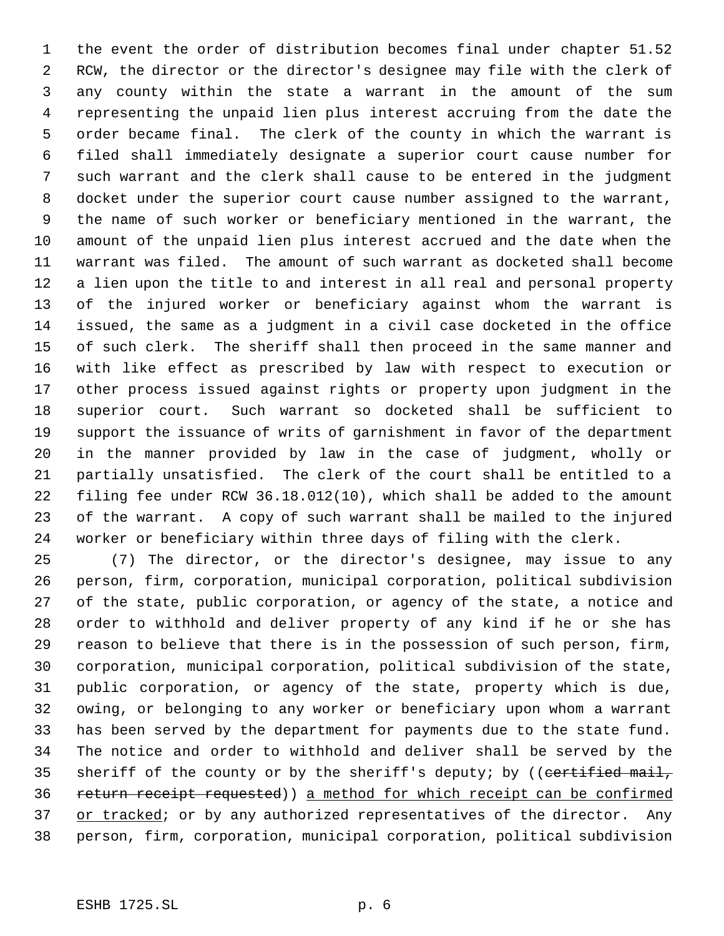the event the order of distribution becomes final under chapter 51.52 RCW, the director or the director's designee may file with the clerk of any county within the state a warrant in the amount of the sum representing the unpaid lien plus interest accruing from the date the order became final. The clerk of the county in which the warrant is filed shall immediately designate a superior court cause number for such warrant and the clerk shall cause to be entered in the judgment docket under the superior court cause number assigned to the warrant, the name of such worker or beneficiary mentioned in the warrant, the amount of the unpaid lien plus interest accrued and the date when the warrant was filed. The amount of such warrant as docketed shall become a lien upon the title to and interest in all real and personal property of the injured worker or beneficiary against whom the warrant is issued, the same as a judgment in a civil case docketed in the office of such clerk. The sheriff shall then proceed in the same manner and with like effect as prescribed by law with respect to execution or other process issued against rights or property upon judgment in the superior court. Such warrant so docketed shall be sufficient to support the issuance of writs of garnishment in favor of the department in the manner provided by law in the case of judgment, wholly or partially unsatisfied. The clerk of the court shall be entitled to a filing fee under RCW 36.18.012(10), which shall be added to the amount of the warrant. A copy of such warrant shall be mailed to the injured worker or beneficiary within three days of filing with the clerk.

 (7) The director, or the director's designee, may issue to any person, firm, corporation, municipal corporation, political subdivision of the state, public corporation, or agency of the state, a notice and order to withhold and deliver property of any kind if he or she has reason to believe that there is in the possession of such person, firm, corporation, municipal corporation, political subdivision of the state, public corporation, or agency of the state, property which is due, owing, or belonging to any worker or beneficiary upon whom a warrant has been served by the department for payments due to the state fund. The notice and order to withhold and deliver shall be served by the 35 sheriff of the county or by the sheriff's deputy; by ((certified mail, return receipt requested)) a method for which receipt can be confirmed 37 or tracked; or by any authorized representatives of the director. Any person, firm, corporation, municipal corporation, political subdivision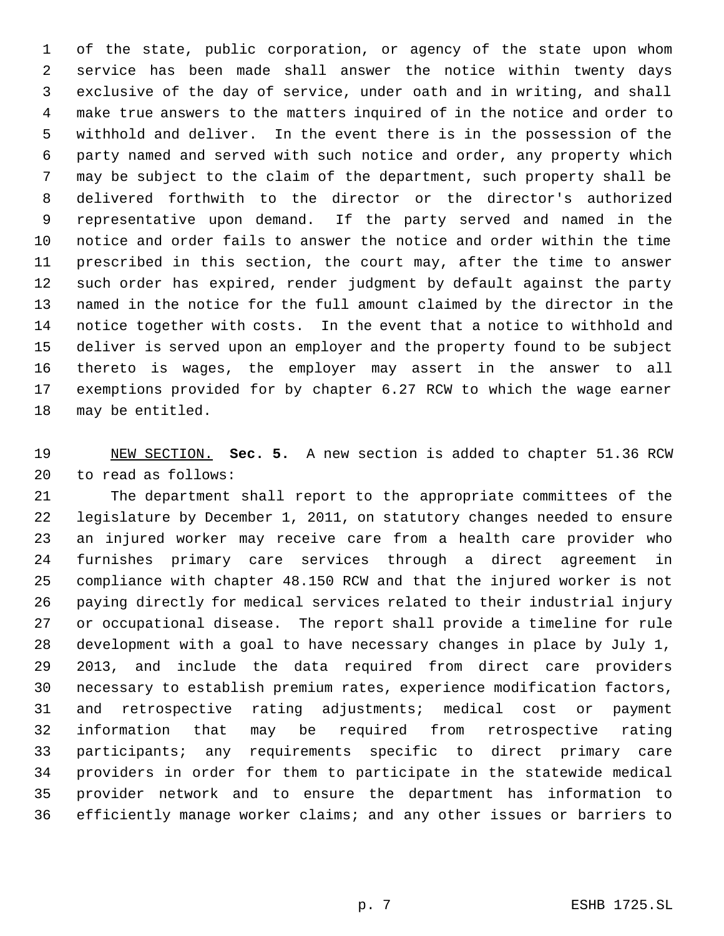of the state, public corporation, or agency of the state upon whom service has been made shall answer the notice within twenty days exclusive of the day of service, under oath and in writing, and shall make true answers to the matters inquired of in the notice and order to withhold and deliver. In the event there is in the possession of the party named and served with such notice and order, any property which may be subject to the claim of the department, such property shall be delivered forthwith to the director or the director's authorized representative upon demand. If the party served and named in the notice and order fails to answer the notice and order within the time prescribed in this section, the court may, after the time to answer such order has expired, render judgment by default against the party named in the notice for the full amount claimed by the director in the notice together with costs. In the event that a notice to withhold and deliver is served upon an employer and the property found to be subject thereto is wages, the employer may assert in the answer to all exemptions provided for by chapter 6.27 RCW to which the wage earner may be entitled.

 NEW SECTION. **Sec. 5.** A new section is added to chapter 51.36 RCW to read as follows:

 The department shall report to the appropriate committees of the legislature by December 1, 2011, on statutory changes needed to ensure an injured worker may receive care from a health care provider who furnishes primary care services through a direct agreement in compliance with chapter 48.150 RCW and that the injured worker is not paying directly for medical services related to their industrial injury or occupational disease. The report shall provide a timeline for rule development with a goal to have necessary changes in place by July 1, 2013, and include the data required from direct care providers necessary to establish premium rates, experience modification factors, and retrospective rating adjustments; medical cost or payment information that may be required from retrospective rating participants; any requirements specific to direct primary care providers in order for them to participate in the statewide medical provider network and to ensure the department has information to efficiently manage worker claims; and any other issues or barriers to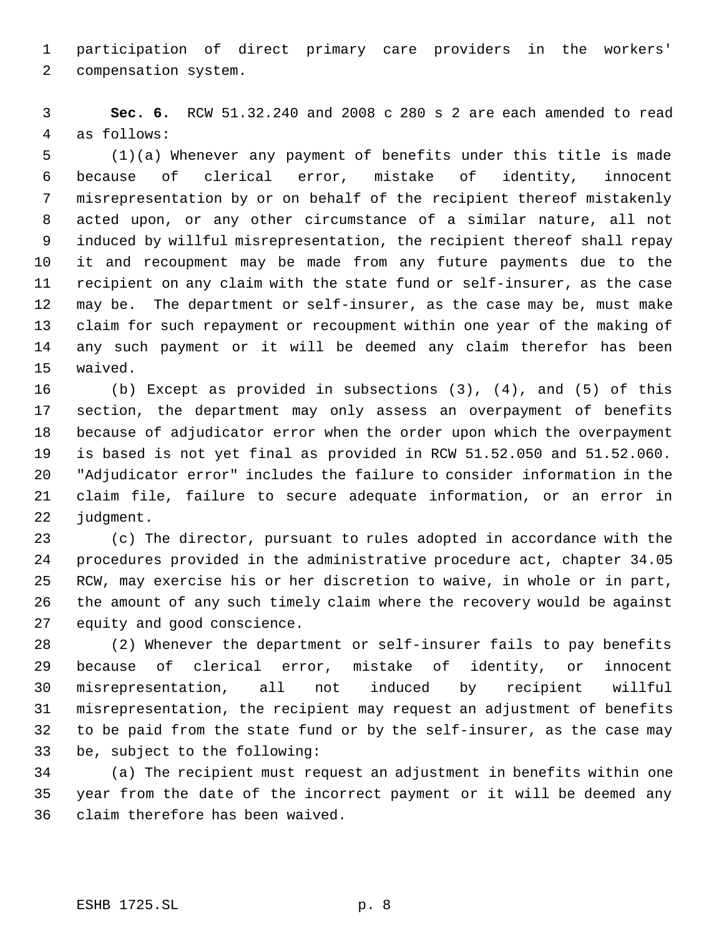participation of direct primary care providers in the workers' compensation system.

 **Sec. 6.** RCW 51.32.240 and 2008 c 280 s 2 are each amended to read as follows:

 (1)(a) Whenever any payment of benefits under this title is made because of clerical error, mistake of identity, innocent misrepresentation by or on behalf of the recipient thereof mistakenly acted upon, or any other circumstance of a similar nature, all not induced by willful misrepresentation, the recipient thereof shall repay it and recoupment may be made from any future payments due to the recipient on any claim with the state fund or self-insurer, as the case may be. The department or self-insurer, as the case may be, must make claim for such repayment or recoupment within one year of the making of any such payment or it will be deemed any claim therefor has been waived.

 (b) Except as provided in subsections (3), (4), and (5) of this section, the department may only assess an overpayment of benefits because of adjudicator error when the order upon which the overpayment is based is not yet final as provided in RCW 51.52.050 and 51.52.060. "Adjudicator error" includes the failure to consider information in the claim file, failure to secure adequate information, or an error in judgment.

 (c) The director, pursuant to rules adopted in accordance with the procedures provided in the administrative procedure act, chapter 34.05 RCW, may exercise his or her discretion to waive, in whole or in part, the amount of any such timely claim where the recovery would be against equity and good conscience.

 (2) Whenever the department or self-insurer fails to pay benefits because of clerical error, mistake of identity, or innocent misrepresentation, all not induced by recipient willful misrepresentation, the recipient may request an adjustment of benefits to be paid from the state fund or by the self-insurer, as the case may be, subject to the following:

 (a) The recipient must request an adjustment in benefits within one year from the date of the incorrect payment or it will be deemed any claim therefore has been waived.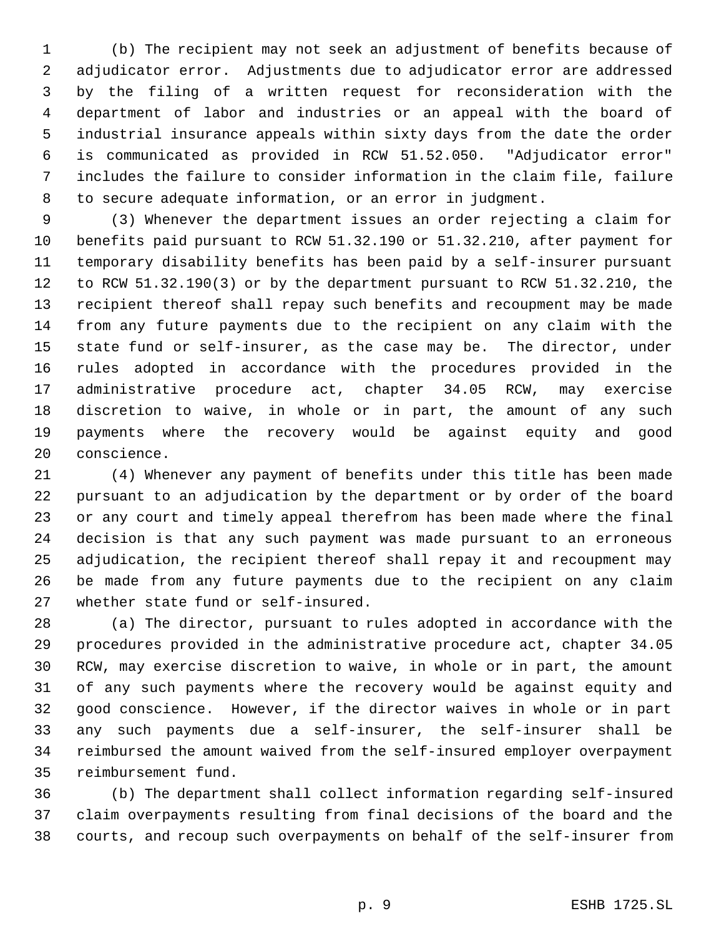(b) The recipient may not seek an adjustment of benefits because of adjudicator error. Adjustments due to adjudicator error are addressed by the filing of a written request for reconsideration with the department of labor and industries or an appeal with the board of industrial insurance appeals within sixty days from the date the order is communicated as provided in RCW 51.52.050. "Adjudicator error" includes the failure to consider information in the claim file, failure to secure adequate information, or an error in judgment.

 (3) Whenever the department issues an order rejecting a claim for benefits paid pursuant to RCW 51.32.190 or 51.32.210, after payment for temporary disability benefits has been paid by a self-insurer pursuant to RCW 51.32.190(3) or by the department pursuant to RCW 51.32.210, the recipient thereof shall repay such benefits and recoupment may be made from any future payments due to the recipient on any claim with the state fund or self-insurer, as the case may be. The director, under rules adopted in accordance with the procedures provided in the administrative procedure act, chapter 34.05 RCW, may exercise discretion to waive, in whole or in part, the amount of any such payments where the recovery would be against equity and good conscience.

 (4) Whenever any payment of benefits under this title has been made pursuant to an adjudication by the department or by order of the board or any court and timely appeal therefrom has been made where the final decision is that any such payment was made pursuant to an erroneous adjudication, the recipient thereof shall repay it and recoupment may be made from any future payments due to the recipient on any claim whether state fund or self-insured.

 (a) The director, pursuant to rules adopted in accordance with the procedures provided in the administrative procedure act, chapter 34.05 RCW, may exercise discretion to waive, in whole or in part, the amount of any such payments where the recovery would be against equity and good conscience. However, if the director waives in whole or in part any such payments due a self-insurer, the self-insurer shall be reimbursed the amount waived from the self-insured employer overpayment reimbursement fund.

 (b) The department shall collect information regarding self-insured claim overpayments resulting from final decisions of the board and the courts, and recoup such overpayments on behalf of the self-insurer from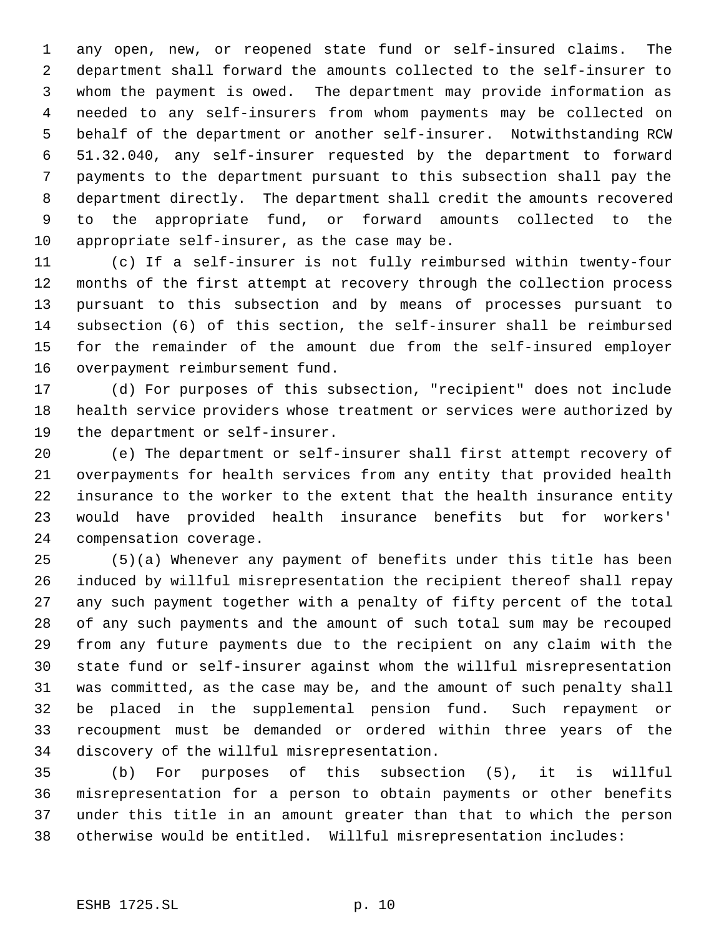any open, new, or reopened state fund or self-insured claims. The department shall forward the amounts collected to the self-insurer to whom the payment is owed. The department may provide information as needed to any self-insurers from whom payments may be collected on behalf of the department or another self-insurer. Notwithstanding RCW 51.32.040, any self-insurer requested by the department to forward payments to the department pursuant to this subsection shall pay the department directly. The department shall credit the amounts recovered to the appropriate fund, or forward amounts collected to the appropriate self-insurer, as the case may be.

 (c) If a self-insurer is not fully reimbursed within twenty-four months of the first attempt at recovery through the collection process pursuant to this subsection and by means of processes pursuant to subsection (6) of this section, the self-insurer shall be reimbursed for the remainder of the amount due from the self-insured employer overpayment reimbursement fund.

 (d) For purposes of this subsection, "recipient" does not include health service providers whose treatment or services were authorized by the department or self-insurer.

 (e) The department or self-insurer shall first attempt recovery of overpayments for health services from any entity that provided health insurance to the worker to the extent that the health insurance entity would have provided health insurance benefits but for workers' compensation coverage.

 (5)(a) Whenever any payment of benefits under this title has been induced by willful misrepresentation the recipient thereof shall repay any such payment together with a penalty of fifty percent of the total of any such payments and the amount of such total sum may be recouped from any future payments due to the recipient on any claim with the state fund or self-insurer against whom the willful misrepresentation was committed, as the case may be, and the amount of such penalty shall be placed in the supplemental pension fund. Such repayment or recoupment must be demanded or ordered within three years of the discovery of the willful misrepresentation.

 (b) For purposes of this subsection (5), it is willful misrepresentation for a person to obtain payments or other benefits under this title in an amount greater than that to which the person otherwise would be entitled. Willful misrepresentation includes: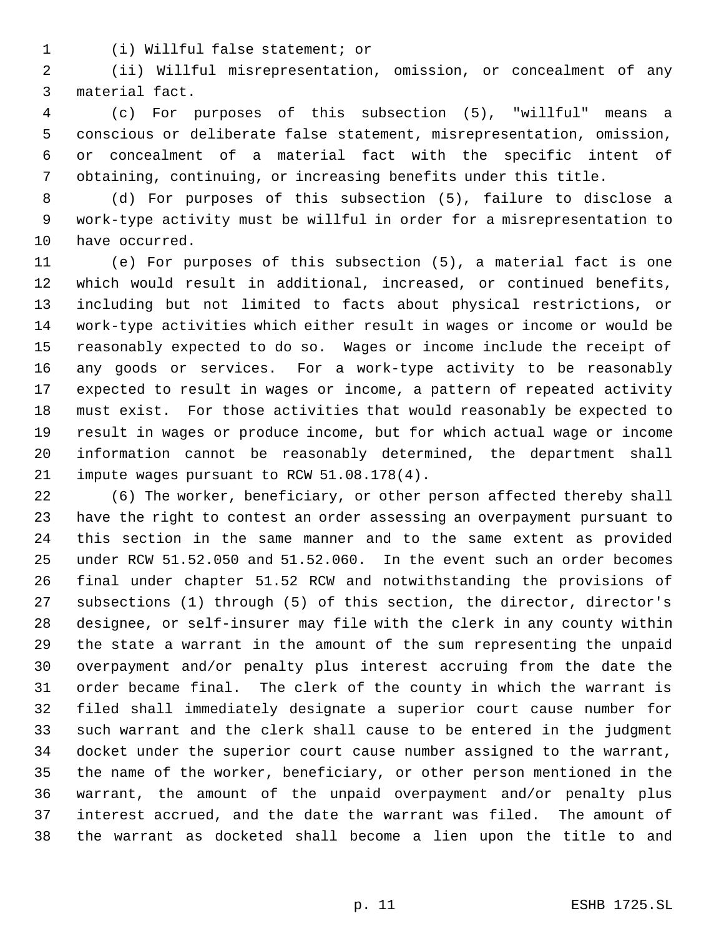(i) Willful false statement; or

 (ii) Willful misrepresentation, omission, or concealment of any material fact.

 (c) For purposes of this subsection (5), "willful" means a conscious or deliberate false statement, misrepresentation, omission, or concealment of a material fact with the specific intent of obtaining, continuing, or increasing benefits under this title.

 (d) For purposes of this subsection (5), failure to disclose a work-type activity must be willful in order for a misrepresentation to have occurred.

 (e) For purposes of this subsection (5), a material fact is one which would result in additional, increased, or continued benefits, including but not limited to facts about physical restrictions, or work-type activities which either result in wages or income or would be reasonably expected to do so. Wages or income include the receipt of any goods or services. For a work-type activity to be reasonably expected to result in wages or income, a pattern of repeated activity must exist. For those activities that would reasonably be expected to result in wages or produce income, but for which actual wage or income information cannot be reasonably determined, the department shall impute wages pursuant to RCW 51.08.178(4).

 (6) The worker, beneficiary, or other person affected thereby shall have the right to contest an order assessing an overpayment pursuant to this section in the same manner and to the same extent as provided under RCW 51.52.050 and 51.52.060. In the event such an order becomes final under chapter 51.52 RCW and notwithstanding the provisions of subsections (1) through (5) of this section, the director, director's designee, or self-insurer may file with the clerk in any county within the state a warrant in the amount of the sum representing the unpaid overpayment and/or penalty plus interest accruing from the date the order became final. The clerk of the county in which the warrant is filed shall immediately designate a superior court cause number for such warrant and the clerk shall cause to be entered in the judgment docket under the superior court cause number assigned to the warrant, the name of the worker, beneficiary, or other person mentioned in the warrant, the amount of the unpaid overpayment and/or penalty plus interest accrued, and the date the warrant was filed. The amount of the warrant as docketed shall become a lien upon the title to and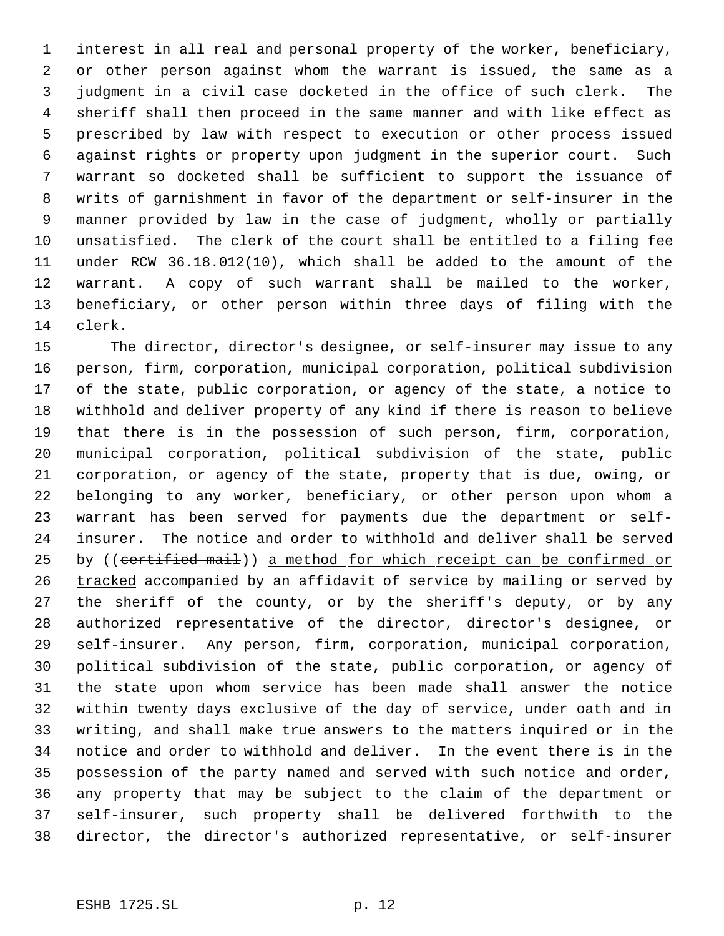interest in all real and personal property of the worker, beneficiary, or other person against whom the warrant is issued, the same as a judgment in a civil case docketed in the office of such clerk. The sheriff shall then proceed in the same manner and with like effect as prescribed by law with respect to execution or other process issued against rights or property upon judgment in the superior court. Such warrant so docketed shall be sufficient to support the issuance of writs of garnishment in favor of the department or self-insurer in the manner provided by law in the case of judgment, wholly or partially unsatisfied. The clerk of the court shall be entitled to a filing fee under RCW 36.18.012(10), which shall be added to the amount of the warrant. A copy of such warrant shall be mailed to the worker, beneficiary, or other person within three days of filing with the clerk.

 The director, director's designee, or self-insurer may issue to any person, firm, corporation, municipal corporation, political subdivision of the state, public corporation, or agency of the state, a notice to withhold and deliver property of any kind if there is reason to believe that there is in the possession of such person, firm, corporation, municipal corporation, political subdivision of the state, public corporation, or agency of the state, property that is due, owing, or belonging to any worker, beneficiary, or other person upon whom a warrant has been served for payments due the department or self- insurer. The notice and order to withhold and deliver shall be served 25 by ((certified mail)) a method for which receipt can be confirmed or 26 tracked accompanied by an affidavit of service by mailing or served by the sheriff of the county, or by the sheriff's deputy, or by any authorized representative of the director, director's designee, or self-insurer. Any person, firm, corporation, municipal corporation, political subdivision of the state, public corporation, or agency of the state upon whom service has been made shall answer the notice within twenty days exclusive of the day of service, under oath and in writing, and shall make true answers to the matters inquired or in the notice and order to withhold and deliver. In the event there is in the possession of the party named and served with such notice and order, any property that may be subject to the claim of the department or self-insurer, such property shall be delivered forthwith to the director, the director's authorized representative, or self-insurer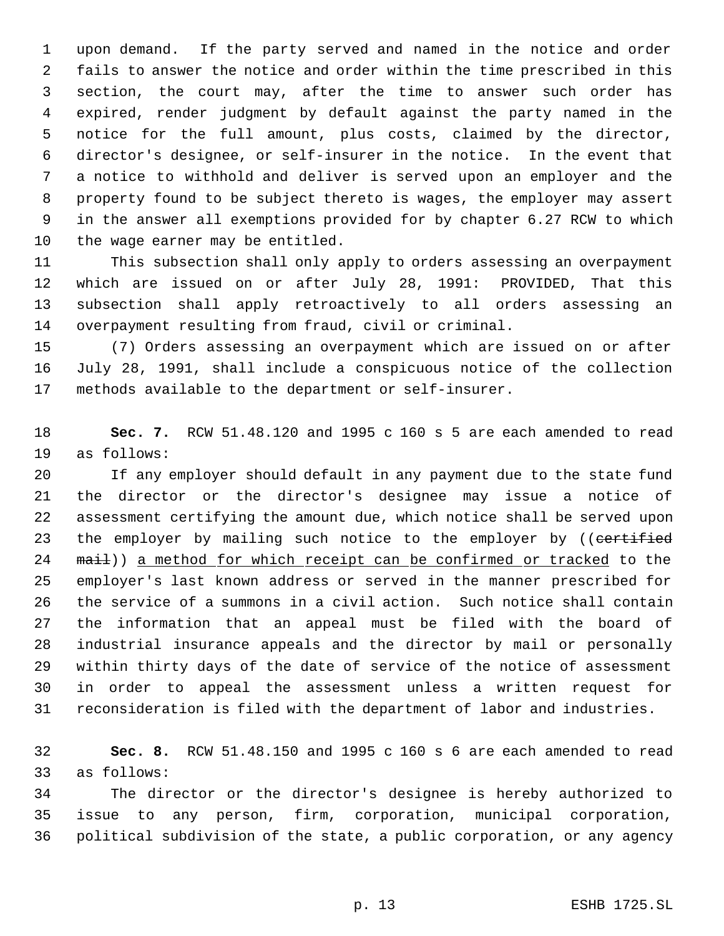upon demand. If the party served and named in the notice and order fails to answer the notice and order within the time prescribed in this section, the court may, after the time to answer such order has expired, render judgment by default against the party named in the notice for the full amount, plus costs, claimed by the director, director's designee, or self-insurer in the notice. In the event that a notice to withhold and deliver is served upon an employer and the property found to be subject thereto is wages, the employer may assert in the answer all exemptions provided for by chapter 6.27 RCW to which the wage earner may be entitled.

 This subsection shall only apply to orders assessing an overpayment which are issued on or after July 28, 1991: PROVIDED, That this subsection shall apply retroactively to all orders assessing an overpayment resulting from fraud, civil or criminal.

 (7) Orders assessing an overpayment which are issued on or after July 28, 1991, shall include a conspicuous notice of the collection methods available to the department or self-insurer.

 **Sec. 7.** RCW 51.48.120 and 1995 c 160 s 5 are each amended to read as follows:

 If any employer should default in any payment due to the state fund the director or the director's designee may issue a notice of assessment certifying the amount due, which notice shall be served upon 23 the employer by mailing such notice to the employer by ((certified 24 mail)) a method for which receipt can be confirmed or tracked to the employer's last known address or served in the manner prescribed for the service of a summons in a civil action. Such notice shall contain the information that an appeal must be filed with the board of industrial insurance appeals and the director by mail or personally within thirty days of the date of service of the notice of assessment in order to appeal the assessment unless a written request for reconsideration is filed with the department of labor and industries.

 **Sec. 8.** RCW 51.48.150 and 1995 c 160 s 6 are each amended to read as follows:

 The director or the director's designee is hereby authorized to issue to any person, firm, corporation, municipal corporation, political subdivision of the state, a public corporation, or any agency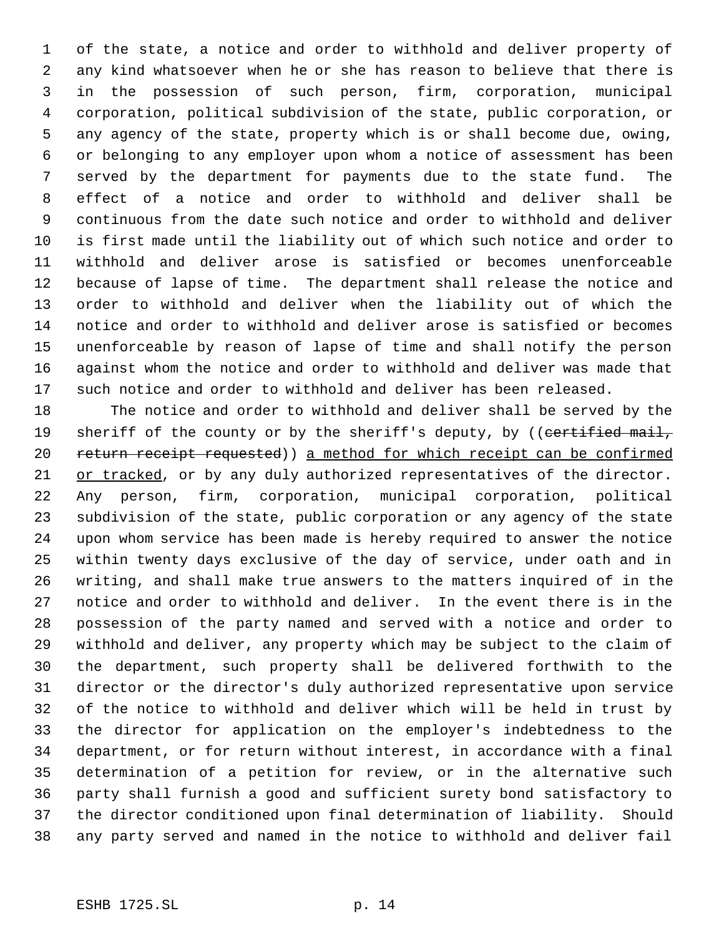of the state, a notice and order to withhold and deliver property of any kind whatsoever when he or she has reason to believe that there is in the possession of such person, firm, corporation, municipal corporation, political subdivision of the state, public corporation, or any agency of the state, property which is or shall become due, owing, or belonging to any employer upon whom a notice of assessment has been served by the department for payments due to the state fund. The effect of a notice and order to withhold and deliver shall be continuous from the date such notice and order to withhold and deliver is first made until the liability out of which such notice and order to withhold and deliver arose is satisfied or becomes unenforceable because of lapse of time. The department shall release the notice and order to withhold and deliver when the liability out of which the notice and order to withhold and deliver arose is satisfied or becomes unenforceable by reason of lapse of time and shall notify the person against whom the notice and order to withhold and deliver was made that such notice and order to withhold and deliver has been released.

 The notice and order to withhold and deliver shall be served by the 19 sheriff of the county or by the sheriff's deputy, by ((certified mail, 20 return receipt requested)) a method for which receipt can be confirmed 21 or tracked, or by any duly authorized representatives of the director. Any person, firm, corporation, municipal corporation, political subdivision of the state, public corporation or any agency of the state upon whom service has been made is hereby required to answer the notice within twenty days exclusive of the day of service, under oath and in writing, and shall make true answers to the matters inquired of in the notice and order to withhold and deliver. In the event there is in the possession of the party named and served with a notice and order to withhold and deliver, any property which may be subject to the claim of the department, such property shall be delivered forthwith to the director or the director's duly authorized representative upon service of the notice to withhold and deliver which will be held in trust by the director for application on the employer's indebtedness to the department, or for return without interest, in accordance with a final determination of a petition for review, or in the alternative such party shall furnish a good and sufficient surety bond satisfactory to the director conditioned upon final determination of liability. Should any party served and named in the notice to withhold and deliver fail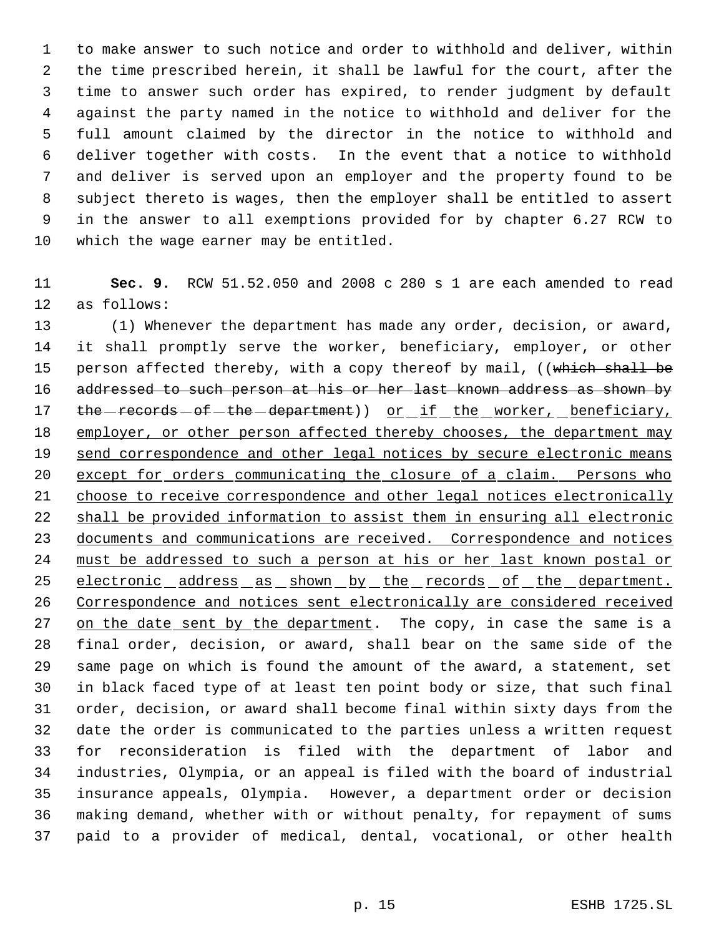to make answer to such notice and order to withhold and deliver, within the time prescribed herein, it shall be lawful for the court, after the time to answer such order has expired, to render judgment by default against the party named in the notice to withhold and deliver for the full amount claimed by the director in the notice to withhold and deliver together with costs. In the event that a notice to withhold and deliver is served upon an employer and the property found to be subject thereto is wages, then the employer shall be entitled to assert in the answer to all exemptions provided for by chapter 6.27 RCW to which the wage earner may be entitled.

 **Sec. 9.** RCW 51.52.050 and 2008 c 280 s 1 are each amended to read as follows:

 (1) Whenever the department has made any order, decision, or award, it shall promptly serve the worker, beneficiary, employer, or other 15 person affected thereby, with a copy thereof by mail, ((which shall be 16 addressed to such person at his or her last known address as shown by 17 the - records - of - the - department)) or if the worker, beneficiary, 18 employer, or other person affected thereby chooses, the department may 19 send correspondence and other legal notices by secure electronic means except for orders communicating the closure of a claim. Persons who 21 choose to receive correspondence and other legal notices electronically shall be provided information to assist them in ensuring all electronic 23 documents and communications are received. Correspondence and notices must be addressed to such a person at his or her last known postal or 25 electronic address as shown by the records of the department. Correspondence and notices sent electronically are considered received 27 on the date sent by the department. The copy, in case the same is a final order, decision, or award, shall bear on the same side of the same page on which is found the amount of the award, a statement, set in black faced type of at least ten point body or size, that such final order, decision, or award shall become final within sixty days from the date the order is communicated to the parties unless a written request for reconsideration is filed with the department of labor and industries, Olympia, or an appeal is filed with the board of industrial insurance appeals, Olympia. However, a department order or decision making demand, whether with or without penalty, for repayment of sums paid to a provider of medical, dental, vocational, or other health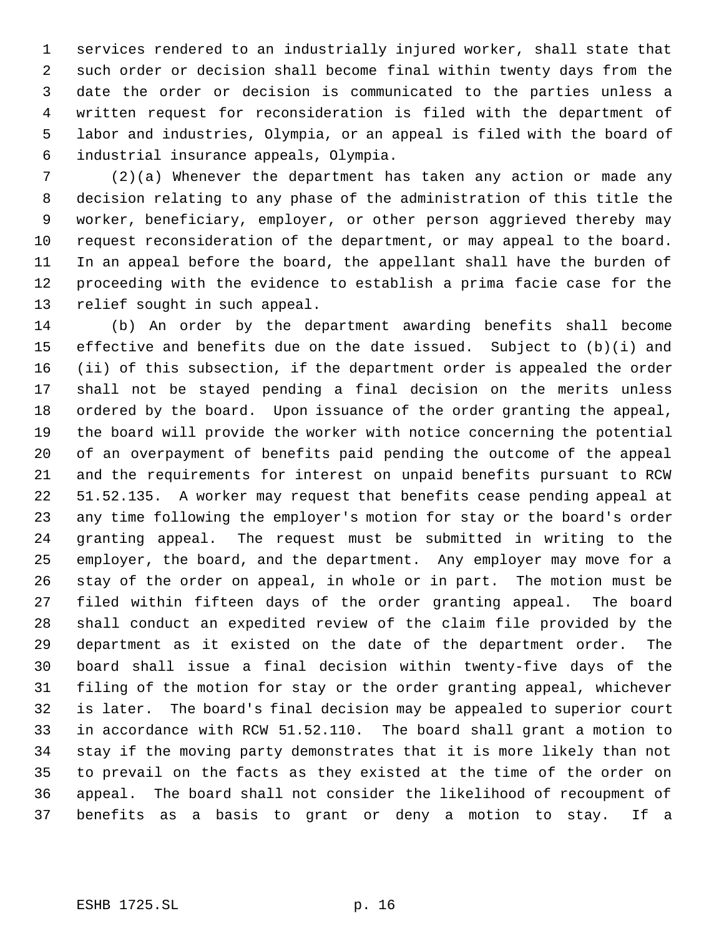services rendered to an industrially injured worker, shall state that such order or decision shall become final within twenty days from the date the order or decision is communicated to the parties unless a written request for reconsideration is filed with the department of labor and industries, Olympia, or an appeal is filed with the board of industrial insurance appeals, Olympia.

 (2)(a) Whenever the department has taken any action or made any decision relating to any phase of the administration of this title the worker, beneficiary, employer, or other person aggrieved thereby may request reconsideration of the department, or may appeal to the board. In an appeal before the board, the appellant shall have the burden of proceeding with the evidence to establish a prima facie case for the relief sought in such appeal.

 (b) An order by the department awarding benefits shall become effective and benefits due on the date issued. Subject to (b)(i) and (ii) of this subsection, if the department order is appealed the order shall not be stayed pending a final decision on the merits unless ordered by the board. Upon issuance of the order granting the appeal, the board will provide the worker with notice concerning the potential of an overpayment of benefits paid pending the outcome of the appeal and the requirements for interest on unpaid benefits pursuant to RCW 51.52.135. A worker may request that benefits cease pending appeal at any time following the employer's motion for stay or the board's order granting appeal. The request must be submitted in writing to the employer, the board, and the department. Any employer may move for a stay of the order on appeal, in whole or in part. The motion must be filed within fifteen days of the order granting appeal. The board shall conduct an expedited review of the claim file provided by the department as it existed on the date of the department order. The board shall issue a final decision within twenty-five days of the filing of the motion for stay or the order granting appeal, whichever is later. The board's final decision may be appealed to superior court in accordance with RCW 51.52.110. The board shall grant a motion to stay if the moving party demonstrates that it is more likely than not to prevail on the facts as they existed at the time of the order on appeal. The board shall not consider the likelihood of recoupment of benefits as a basis to grant or deny a motion to stay. If a